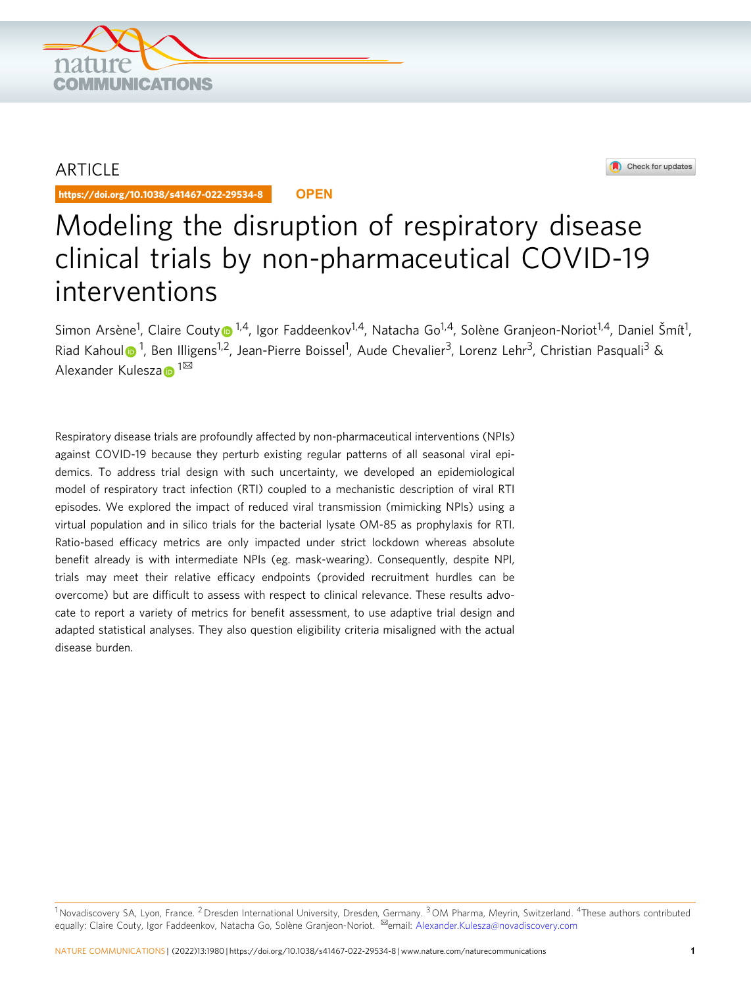

## ARTICLE

https://doi.org/10.1038/s41467-022-29534-8 **OPEN**



# Modeling the disruption of respiratory disease clinical trials by non-pharmaceutical COVID-19 interventions

Simon Arsène<sup>1</sup>, Claire Cout[y](http://orcid.org/0000-0001-9167-7428)® <sup>1,4</sup>, Igor Faddeenkov<sup>1,4</sup>, Natacha Go<sup>1,4</sup>, Solène Granjeon-Noriot<sup>1,4</sup>, Daniel Šmít<sup>1</sup>, Riad Kahou[l](http://orcid.org/0000-0002-6181-7466) n<sup>[1](http://orcid.org/0000-0002-6181-7466)</sup>, Ben Illigens<sup>1,2</sup>, Jean-Pierre Boissel<sup>1</sup>, Aude Chevalier<sup>3</sup>, Lorenz Lehr<sup>3</sup>, Christian Pasquali<sup>3</sup> & Alex[a](http://orcid.org/0000-0002-8812-8548)nder Kulesza $\mathbf{p}^{1\boxtimes}$ 

Respiratory disease trials are profoundly affected by non-pharmaceutical interventions (NPIs) against COVID-19 because they perturb existing regular patterns of all seasonal viral epidemics. To address trial design with such uncertainty, we developed an epidemiological model of respiratory tract infection (RTI) coupled to a mechanistic description of viral RTI episodes. We explored the impact of reduced viral transmission (mimicking NPIs) using a virtual population and in silico trials for the bacterial lysate OM-85 as prophylaxis for RTI. Ratio-based efficacy metrics are only impacted under strict lockdown whereas absolute benefit already is with intermediate NPIs (eg. mask-wearing). Consequently, despite NPI, trials may meet their relative efficacy endpoints (provided recruitment hurdles can be overcome) but are difficult to assess with respect to clinical relevance. These results advocate to report a variety of metrics for benefit assessment, to use adaptive trial design and adapted statistical analyses. They also question eligibility criteria misaligned with the actual disease burden.

<sup>1</sup> Novadiscovery SA, Lyon, France. <sup>2</sup> Dresden International University, Dresden, Germany. <sup>3</sup> OM Pharma, Meyrin, Switzerland. <sup>4</sup>These authors contributed equally: Claire Couty, Igor Faddeenkov, Natacha Go, Solène Granjeon-Noriot. ✉email: [Alexander.Kulesza@novadiscovery.com](mailto:Alexander.Kulesza@novadiscovery.com)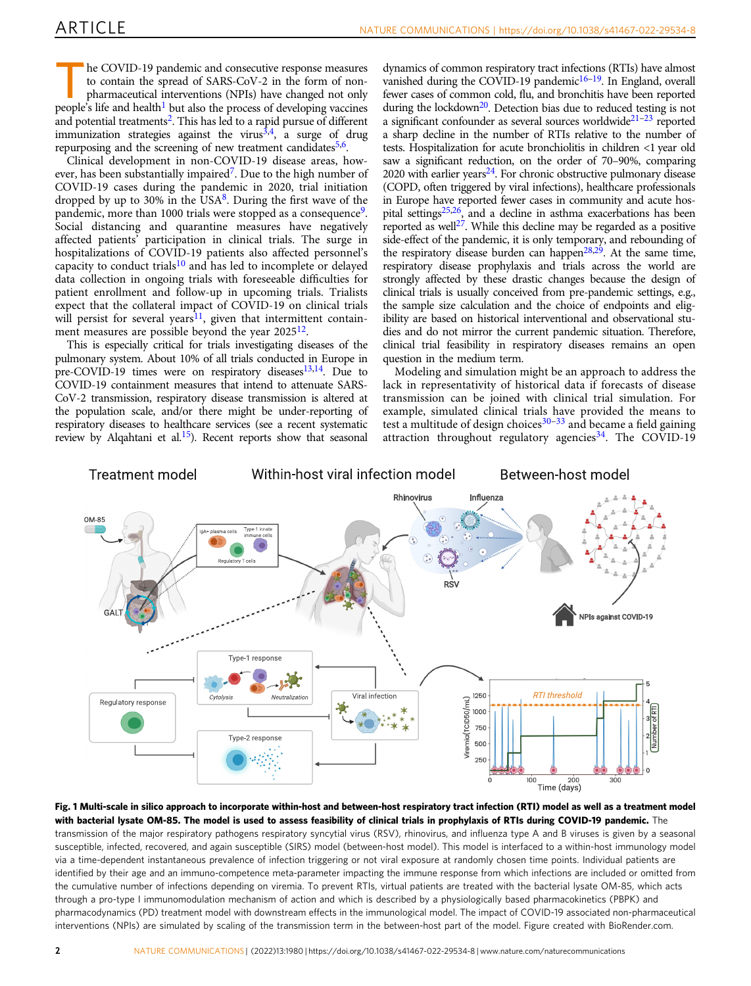<span id="page-1-0"></span>The COVID-19 pandemic and consecutive response measures<br>to contain the spread of SARS-CoV-2 in the form of non-<br>pharmaceutical interventions (NPIs) have changed not only<br>negative life in the process of drugbing uncomposed to contain the spread of SARS-CoV-2 in the form of nonpharmaceutical interventions (NPIs) have changed not only people's life and health<sup>1</sup> but also the process of developing vaccines and potential treatments<sup>2</sup>. This has led to a rapid pursue of different immunization strategies against the virus $3,4$  $3,4$  $3,4$ , a surge of drug repurposing and the screening of new treatment candidates<sup>[5](#page-8-0),[6](#page-8-0)</sup>.

Clinical development in non-COVID-19 disease areas, however, has been substantially impaired<sup>7</sup>. Due to the high number of COVID-19 cases during the pandemic in 2020, trial initiation dropped by up to 30% in the USA $\delta$ . During the first wave of the pandemic, more than 1000 trials were stopped as a consequence<sup>9</sup>. Social distancing and quarantine measures have negatively affected patients' participation in clinical trials. The surge in hospitalizations of COVID-19 patients also affected personnel's capacity to conduct trials<sup>[10](#page-8-0)</sup> and has led to incomplete or delayed data collection in ongoing trials with foreseeable difficulties for patient enrollment and follow-up in upcoming trials. Trialists expect that the collateral impact of COVID-19 on clinical trials will persist for several years<sup>[11](#page-8-0)</sup>, given that intermittent containment measures are possible beyond the year  $2025^{12}$ .

This is especially critical for trials investigating diseases of the pulmonary system. About 10% of all trials conducted in Europe in pre-COVID-19 times were on respiratory diseases<sup>[13,14](#page-8-0)</sup>. Due to COVID-19 containment measures that intend to attenuate SARS-CoV-2 transmission, respiratory disease transmission is altered at the population scale, and/or there might be under-reporting of respiratory diseases to healthcare services (see a recent systematic review by Alqahtani et al.<sup>15</sup>). Recent reports show that seasonal dynamics of common respiratory tract infections (RTIs) have almost vanished during the COVID-19 pandemic $16-19$ . In England, overall fewer cases of common cold, flu, and bronchitis have been reported during the lockdown<sup>20</sup>. Detection bias due to reduced testing is not a significant confounder as several sources worldwide<sup>21-[23](#page-8-0)</sup> reported a sharp decline in the number of RTIs relative to the number of tests. Hospitalization for acute bronchiolitis in children <1 year old saw a significant reduction, on the order of 70–90%, comparing 2020 with earlier years $^{24}$ . For chronic obstructive pulmonary disease (COPD, often triggered by viral infections), healthcare professionals in Europe have reported fewer cases in community and acute hospital setting[s25](#page-8-0),[26,](#page-8-0) and a decline in asthma exacerbations has been reported as well<sup>27</sup>. While this decline may be regarded as a positive side-effect of the pandemic, it is only temporary, and rebounding of the respiratory disease burden can happen<sup>28,29</sup>. At the same time, respiratory disease prophylaxis and trials across the world are strongly affected by these drastic changes because the design of clinical trials is usually conceived from pre-pandemic settings, e.g., the sample size calculation and the choice of endpoints and eligibility are based on historical interventional and observational studies and do not mirror the current pandemic situation. Therefore, clinical trial feasibility in respiratory diseases remains an open question in the medium term.

Modeling and simulation might be an approach to address the lack in representativity of historical data if forecasts of disease transmission can be joined with clinical trial simulation. For example, simulated clinical trials have provided the means to test a multitude of design choices $30-33$  $30-33$  $30-33$  and became a field gaining attraction throughout regulatory agencies  $34$ . The COVID-19



Fig. 1 Multi-scale in silico approach to incorporate within-host and between-host respiratory tract infection (RTI) model as well as a treatment model with bacterial lysate OM-85. The model is used to assess feasibility of clinical trials in prophylaxis of RTIs during COVID-19 pandemic. The transmission of the major respiratory pathogens respiratory syncytial virus (RSV), rhinovirus, and influenza type A and B viruses is given by a seasonal susceptible, infected, recovered, and again susceptible (SIRS) model (between-host model). This model is interfaced to a within-host immunology model via a time-dependent instantaneous prevalence of infection triggering or not viral exposure at randomly chosen time points. Individual patients are identified by their age and an immuno-competence meta-parameter impacting the immune response from which infections are included or omitted from the cumulative number of infections depending on viremia. To prevent RTIs, virtual patients are treated with the bacterial lysate OM-85, which acts through a pro-type I immunomodulation mechanism of action and which is described by a physiologically based pharmacokinetics (PBPK) and pharmacodynamics (PD) treatment model with downstream effects in the immunological model. The impact of COVID-19 associated non-pharmaceutical interventions (NPIs) are simulated by scaling of the transmission term in the between-host part of the model. Figure created with BioRender.com.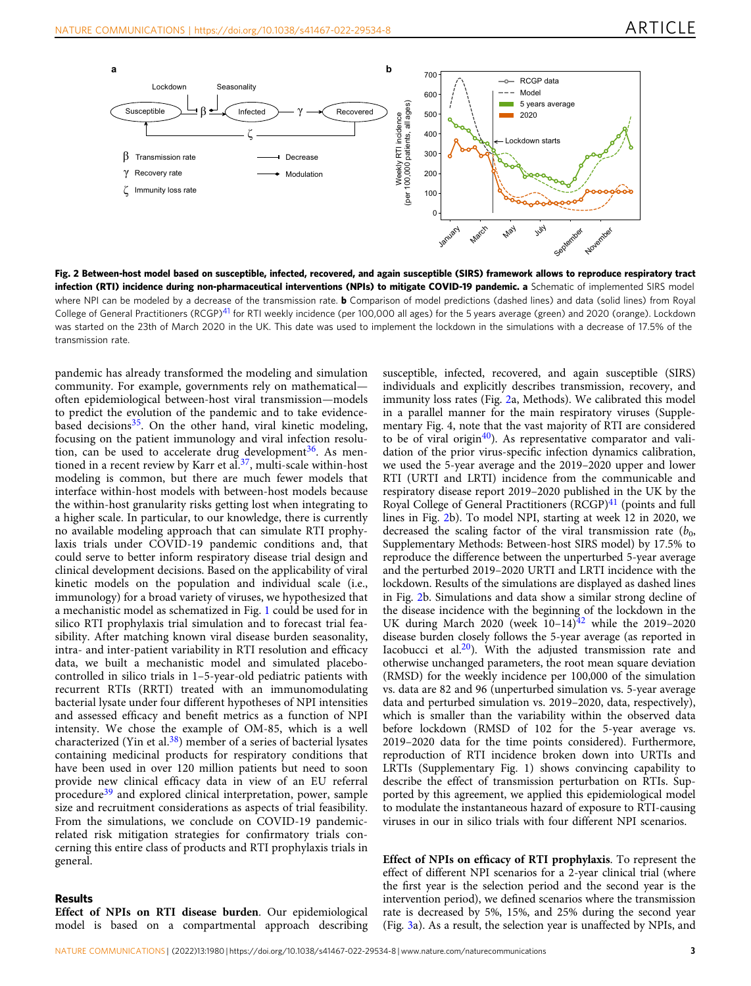

Fig. 2 Between-host model based on susceptible, infected, recovered, and again susceptible (SIRS) framework allows to reproduce respiratory tract infection (RTI) incidence during non-pharmaceutical interventions (NPIs) to mitigate COVID-19 pandemic. a Schematic of implemented SIRS model where NPI can be modeled by a decrease of the transmission rate. **b** Comparison of model predictions (dashed lines) and data (solid lines) from Royal College of General Practitioners (RCGP)<sup>[41](#page-8-0)</sup> for RTI weekly incidence (per 100,000 all ages) for the 5 years average (green) and 2020 (orange). Lockdown was started on the 23th of March 2020 in the UK. This date was used to implement the lockdown in the simulations with a decrease of 17.5% of the transmission rate.

pandemic has already transformed the modeling and simulation community. For example, governments rely on mathematical often epidemiological between-host viral transmission—models to predict the evolution of the pandemic and to take evidencebased decisions<sup>35</sup>. On the other hand, viral kinetic modeling, focusing on the patient immunology and viral infection resolution, can be used to accelerate drug development<sup>36</sup>. As men-tioned in a recent review by Karr et al.<sup>[37](#page-8-0)</sup>, multi-scale within-host modeling is common, but there are much fewer models that interface within-host models with between-host models because the within-host granularity risks getting lost when integrating to a higher scale. In particular, to our knowledge, there is currently no available modeling approach that can simulate RTI prophylaxis trials under COVID-19 pandemic conditions and, that could serve to better inform respiratory disease trial design and clinical development decisions. Based on the applicability of viral kinetic models on the population and individual scale (i.e., immunology) for a broad variety of viruses, we hypothesized that a mechanistic model as schematized in Fig. [1](#page-1-0) could be used for in silico RTI prophylaxis trial simulation and to forecast trial feasibility. After matching known viral disease burden seasonality, intra- and inter-patient variability in RTI resolution and efficacy data, we built a mechanistic model and simulated placebocontrolled in silico trials in 1–5-year-old pediatric patients with recurrent RTIs (RRTI) treated with an immunomodulating bacterial lysate under four different hypotheses of NPI intensities and assessed efficacy and benefit metrics as a function of NPI intensity. We chose the example of OM-85, which is a well characterized (Yin et al. $38$ ) member of a series of bacterial lysates containing medicinal products for respiratory conditions that have been used in over 120 million patients but need to soon provide new clinical efficacy data in view of an EU referral procedure<sup>[39](#page-8-0)</sup> and explored clinical interpretation, power, sample size and recruitment considerations as aspects of trial feasibility. From the simulations, we conclude on COVID-19 pandemicrelated risk mitigation strategies for confirmatory trials concerning this entire class of products and RTI prophylaxis trials in general.

#### Results

Effect of NPIs on RTI disease burden. Our epidemiological model is based on a compartmental approach describing susceptible, infected, recovered, and again susceptible (SIRS) individuals and explicitly describes transmission, recovery, and immunity loss rates (Fig. 2a, Methods). We calibrated this model in a parallel manner for the main respiratory viruses (Supplementary Fig. 4, note that the vast majority of RTI are considered to be of viral origin $40$ ). As representative comparator and validation of the prior virus-specific infection dynamics calibration, we used the 5-year average and the 2019–2020 upper and lower RTI (URTI and LRTI) incidence from the communicable and respiratory disease report 2019–2020 published in the UK by the Royal College of General Practitioners (RCGP)<sup>[41](#page-8-0)</sup> (points and full lines in Fig. 2b). To model NPI, starting at week 12 in 2020, we decreased the scaling factor of the viral transmission rate  $(b_0, b_1)$ Supplementary Methods: Between-host SIRS model) by 17.5% to reproduce the difference between the unperturbed 5-year average and the perturbed 2019–2020 URTI and LRTI incidence with the lockdown. Results of the simulations are displayed as dashed lines in Fig. 2b. Simulations and data show a similar strong decline of the disease incidence with the beginning of the lockdown in the UK during March 2020 (week  $10-14$ )<sup>42</sup> while the 2019-2020 disease burden closely follows the 5-year average (as reported in Iacobucci et al. $20$ ). With the adjusted transmission rate and otherwise unchanged parameters, the root mean square deviation (RMSD) for the weekly incidence per 100,000 of the simulation vs. data are 82 and 96 (unperturbed simulation vs. 5-year average data and perturbed simulation vs. 2019–2020, data, respectively), which is smaller than the variability within the observed data before lockdown (RMSD of 102 for the 5-year average vs. 2019–2020 data for the time points considered). Furthermore, reproduction of RTI incidence broken down into URTIs and LRTIs (Supplementary Fig. 1) shows convincing capability to describe the effect of transmission perturbation on RTIs. Supported by this agreement, we applied this epidemiological model to modulate the instantaneous hazard of exposure to RTI-causing viruses in our in silico trials with four different NPI scenarios.

Effect of NPIs on efficacy of RTI prophylaxis. To represent the effect of different NPI scenarios for a 2-year clinical trial (where the first year is the selection period and the second year is the intervention period), we defined scenarios where the transmission rate is decreased by 5%, 15%, and 25% during the second year (Fig. [3a](#page-3-0)). As a result, the selection year is unaffected by NPIs, and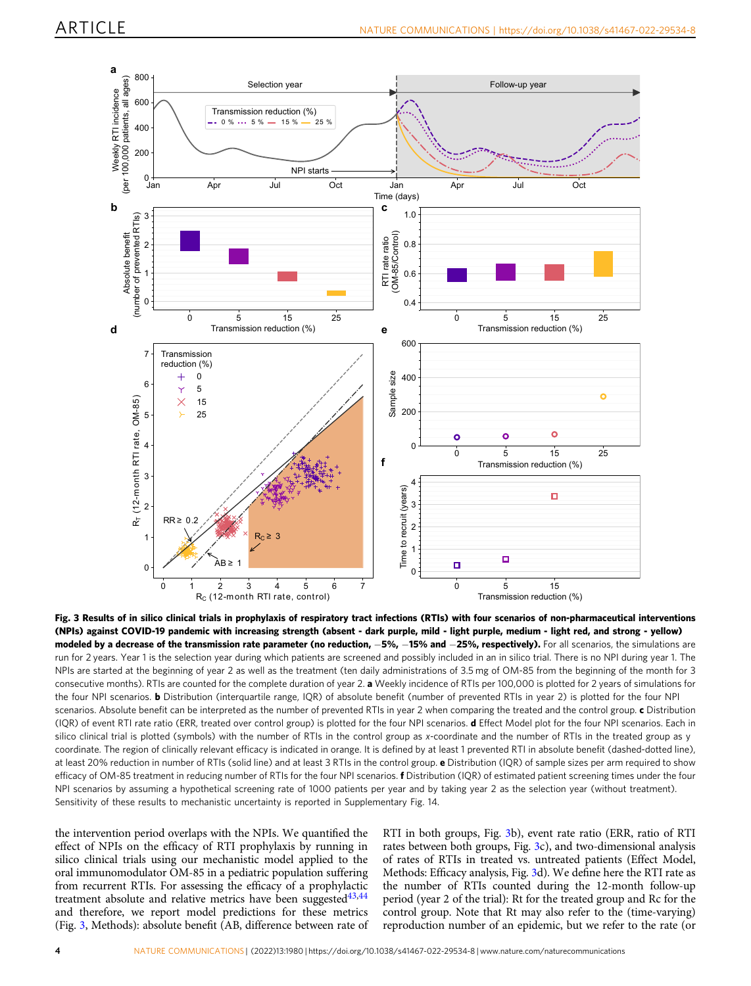<span id="page-3-0"></span>

Fig. 3 Results of in silico clinical trials in prophylaxis of respiratory tract infections (RTIs) with four scenarios of non-pharmaceutical interventions (NPIs) against COVID-19 pandemic with increasing strength (absent - dark purple, mild - light purple, medium - light red, and strong - yellow) modeled by a decrease of the transmission rate parameter (no reduction, -5%, -15% and -25%, respectively). For all scenarios, the simulations are run for 2 years. Year 1 is the selection year during which patients are screened and possibly included in an in silico trial. There is no NPI during year 1. The NPIs are started at the beginning of year 2 as well as the treatment (ten daily administrations of 3.5 mg of OM-85 from the beginning of the month for 3 consecutive months). RTIs are counted for the complete duration of year 2. a Weekly incidence of RTIs per 100,000 is plotted for 2 years of simulations for the four NPI scenarios. **b** Distribution (interquartile range, IOR) of absolute benefit (number of prevented RTIs in year 2) is plotted for the four NPI scenarios. Absolute benefit can be interpreted as the number of prevented RTIs in year 2 when comparing the treated and the control group. c Distribution (IQR) of event RTI rate ratio (ERR, treated over control group) is plotted for the four NPI scenarios. d Effect Model plot for the four NPI scenarios. Each in silico clinical trial is plotted (symbols) with the number of RTIs in the control group as x-coordinate and the number of RTIs in the treated group as y coordinate. The region of clinically relevant efficacy is indicated in orange. It is defined by at least 1 prevented RTI in absolute benefit (dashed-dotted line), at least 20% reduction in number of RTIs (solid line) and at least 3 RTIs in the control group. **e** Distribution (IQR) of sample sizes per arm required to show efficacy of OM-85 treatment in reducing number of RTIs for the four NPI scenarios. **f** Distribution (IQR) of estimated patient screening times under the four NPI scenarios by assuming a hypothetical screening rate of 1000 patients per year and by taking year 2 as the selection year (without treatment). Sensitivity of these results to mechanistic uncertainty is reported in Supplementary Fig. 14.

the intervention period overlaps with the NPIs. We quantified the effect of NPIs on the efficacy of RTI prophylaxis by running in silico clinical trials using our mechanistic model applied to the oral immunomodulator OM-85 in a pediatric population suffering from recurrent RTIs. For assessing the efficacy of a prophylactic treatment absolute and relative metrics have been suggested $43,44$ and therefore, we report model predictions for these metrics (Fig. 3, Methods): absolute benefit (AB, difference between rate of RTI in both groups, Fig. 3b), event rate ratio (ERR, ratio of RTI rates between both groups, Fig. 3c), and two-dimensional analysis of rates of RTIs in treated vs. untreated patients (Effect Model, Methods: Efficacy analysis, Fig. 3d). We define here the RTI rate as the number of RTIs counted during the 12-month follow-up period (year 2 of the trial): Rt for the treated group and Rc for the control group. Note that Rt may also refer to the (time-varying) reproduction number of an epidemic, but we refer to the rate (or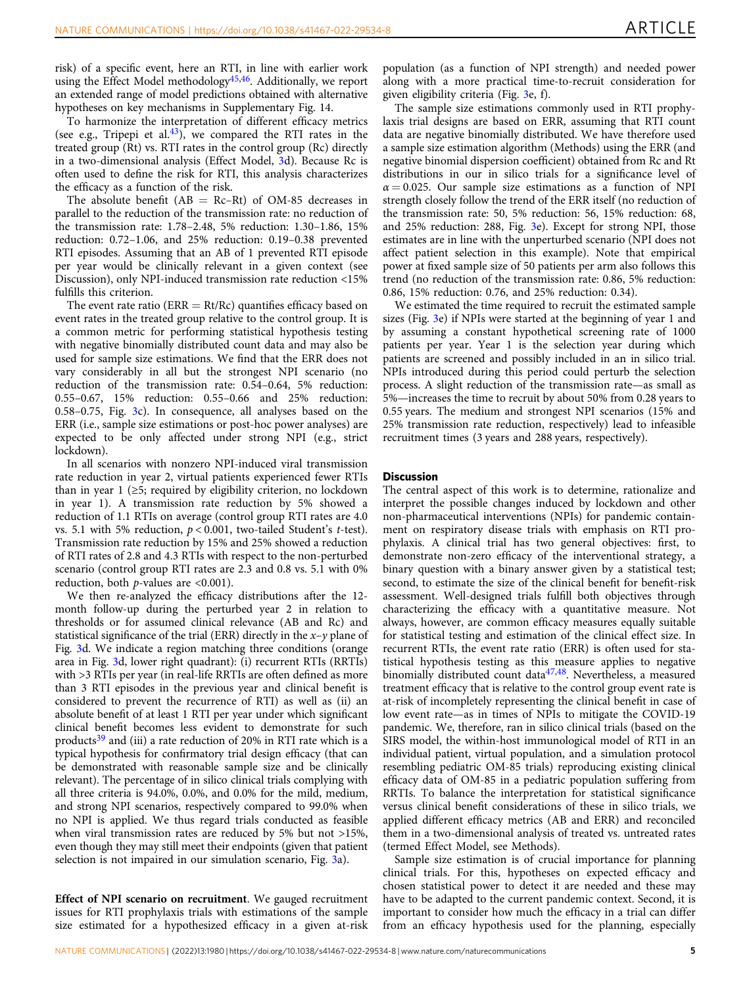risk) of a specific event, here an RTI, in line with earlier work using the Effect Model methodology<sup>45,46</sup>. Additionally, we report an extended range of model predictions obtained with alternative hypotheses on key mechanisms in Supplementary Fig. 14.

To harmonize the interpretation of different efficacy metrics (see e.g., Tripepi et al.<sup>43</sup>), we compared the RTI rates in the treated group (Rt) vs. RTI rates in the control group (Rc) directly in a two-dimensional analysis (Effect Model, [3](#page-3-0)d). Because Rc is often used to define the risk for RTI, this analysis characterizes the efficacy as a function of the risk.

The absolute benefit  $(AB = Rc-Rt)$  of OM-85 decreases in parallel to the reduction of the transmission rate: no reduction of the transmission rate: 1.78–2.48, 5% reduction: 1.30–1.86, 15% reduction: 0.72–1.06, and 25% reduction: 0.19–0.38 prevented RTI episodes. Assuming that an AB of 1 prevented RTI episode per year would be clinically relevant in a given context (see Discussion), only NPI-induced transmission rate reduction <15% fulfills this criterion.

The event rate ratio ( $ERR = Rt/RC$ ) quantifies efficacy based on event rates in the treated group relative to the control group. It is a common metric for performing statistical hypothesis testing with negative binomially distributed count data and may also be used for sample size estimations. We find that the ERR does not vary considerably in all but the strongest NPI scenario (no reduction of the transmission rate: 0.54–0.64, 5% reduction: 0.55–0.67, 15% reduction: 0.55–0.66 and 25% reduction: 0.58–0.75, Fig. [3](#page-3-0)c). In consequence, all analyses based on the ERR (i.e., sample size estimations or post-hoc power analyses) are expected to be only affected under strong NPI (e.g., strict lockdown).

In all scenarios with nonzero NPI-induced viral transmission rate reduction in year 2, virtual patients experienced fewer RTIs than in year 1 (≥5; required by eligibility criterion, no lockdown in year 1). A transmission rate reduction by 5% showed a reduction of 1.1 RTIs on average (control group RTI rates are 4.0 vs. 5.1 with 5% reduction,  $p < 0.001$ , two-tailed Student's t-test). Transmission rate reduction by 15% and 25% showed a reduction of RTI rates of 2.8 and 4.3 RTIs with respect to the non-perturbed scenario (control group RTI rates are 2.3 and 0.8 vs. 5.1 with 0% reduction, both  $p$ -values are <0.001).

We then re-analyzed the efficacy distributions after the 12 month follow-up during the perturbed year 2 in relation to thresholds or for assumed clinical relevance (AB and Rc) and statistical significance of the trial (ERR) directly in the  $x-y$  plane of Fig. [3](#page-3-0)d. We indicate a region matching three conditions (orange area in Fig. [3d](#page-3-0), lower right quadrant): (i) recurrent RTIs (RRTIs) with >3 RTIs per year (in real-life RRTIs are often defined as more than 3 RTI episodes in the previous year and clinical benefit is considered to prevent the recurrence of RTI) as well as (ii) an absolute benefit of at least 1 RTI per year under which significant clinical benefit becomes less evident to demonstrate for such products $39$  and (iii) a rate reduction of 20% in RTI rate which is a typical hypothesis for confirmatory trial design efficacy (that can be demonstrated with reasonable sample size and be clinically relevant). The percentage of in silico clinical trials complying with all three criteria is 94.0%, 0.0%, and 0.0% for the mild, medium, and strong NPI scenarios, respectively compared to 99.0% when no NPI is applied. We thus regard trials conducted as feasible when viral transmission rates are reduced by 5% but not >15%, even though they may still meet their endpoints (given that patient selection is not impaired in our simulation scenario, Fig. [3a](#page-3-0)).

Effect of NPI scenario on recruitment. We gauged recruitment issues for RTI prophylaxis trials with estimations of the sample size estimated for a hypothesized efficacy in a given at-risk population (as a function of NPI strength) and needed power along with a more practical time-to-recruit consideration for given eligibility criteria (Fig. [3](#page-3-0)e, f).

The sample size estimations commonly used in RTI prophylaxis trial designs are based on ERR, assuming that RTI count data are negative binomially distributed. We have therefore used a sample size estimation algorithm (Methods) using the ERR (and negative binomial dispersion coefficient) obtained from Rc and Rt distributions in our in silico trials for a significance level of  $\alpha = 0.025$ . Our sample size estimations as a function of NPI strength closely follow the trend of the ERR itself (no reduction of the transmission rate: 50, 5% reduction: 56, 15% reduction: 68, and 25% reduction: 288, Fig. [3](#page-3-0)e). Except for strong NPI, those estimates are in line with the unperturbed scenario (NPI does not affect patient selection in this example). Note that empirical power at fixed sample size of 50 patients per arm also follows this trend (no reduction of the transmission rate: 0.86, 5% reduction: 0.86, 15% reduction: 0.76, and 25% reduction: 0.34).

We estimated the time required to recruit the estimated sample sizes (Fig. [3e](#page-3-0)) if NPIs were started at the beginning of year 1 and by assuming a constant hypothetical screening rate of 1000 patients per year. Year 1 is the selection year during which patients are screened and possibly included in an in silico trial. NPIs introduced during this period could perturb the selection process. A slight reduction of the transmission rate—as small as 5%—increases the time to recruit by about 50% from 0.28 years to 0.55 years. The medium and strongest NPI scenarios (15% and 25% transmission rate reduction, respectively) lead to infeasible recruitment times (3 years and 288 years, respectively).

#### **Discussion**

The central aspect of this work is to determine, rationalize and interpret the possible changes induced by lockdown and other non-pharmaceutical interventions (NPIs) for pandemic containment on respiratory disease trials with emphasis on RTI prophylaxis. A clinical trial has two general objectives: first, to demonstrate non-zero efficacy of the interventional strategy, a binary question with a binary answer given by a statistical test; second, to estimate the size of the clinical benefit for benefit-risk assessment. Well-designed trials fulfill both objectives through characterizing the efficacy with a quantitative measure. Not always, however, are common efficacy measures equally suitable for statistical testing and estimation of the clinical effect size. In recurrent RTIs, the event rate ratio (ERR) is often used for statistical hypothesis testing as this measure applies to negative binomially distributed count data<sup>[47](#page-8-0),[48](#page-8-0)</sup>. Nevertheless, a measured treatment efficacy that is relative to the control group event rate is at-risk of incompletely representing the clinical benefit in case of low event rate—as in times of NPIs to mitigate the COVID-19 pandemic. We, therefore, ran in silico clinical trials (based on the SIRS model, the within-host immunological model of RTI in an individual patient, virtual population, and a simulation protocol resembling pediatric OM-85 trials) reproducing existing clinical efficacy data of OM-85 in a pediatric population suffering from RRTIs. To balance the interpretation for statistical significance versus clinical benefit considerations of these in silico trials, we applied different efficacy metrics (AB and ERR) and reconciled them in a two-dimensional analysis of treated vs. untreated rates (termed Effect Model, see Methods).

Sample size estimation is of crucial importance for planning clinical trials. For this, hypotheses on expected efficacy and chosen statistical power to detect it are needed and these may have to be adapted to the current pandemic context. Second, it is important to consider how much the efficacy in a trial can differ from an efficacy hypothesis used for the planning, especially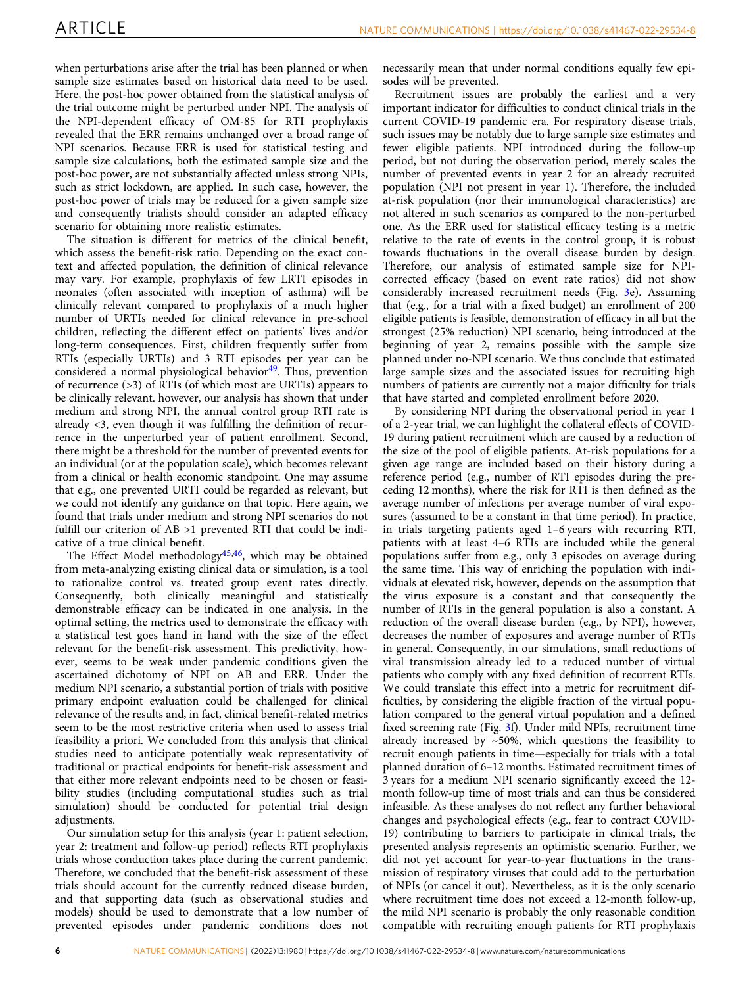when perturbations arise after the trial has been planned or when sample size estimates based on historical data need to be used. Here, the post-hoc power obtained from the statistical analysis of the trial outcome might be perturbed under NPI. The analysis of the NPI-dependent efficacy of OM-85 for RTI prophylaxis revealed that the ERR remains unchanged over a broad range of NPI scenarios. Because ERR is used for statistical testing and sample size calculations, both the estimated sample size and the post-hoc power, are not substantially affected unless strong NPIs, such as strict lockdown, are applied. In such case, however, the post-hoc power of trials may be reduced for a given sample size and consequently trialists should consider an adapted efficacy scenario for obtaining more realistic estimates.

The situation is different for metrics of the clinical benefit, which assess the benefit-risk ratio. Depending on the exact context and affected population, the definition of clinical relevance may vary. For example, prophylaxis of few LRTI episodes in neonates (often associated with inception of asthma) will be clinically relevant compared to prophylaxis of a much higher number of URTIs needed for clinical relevance in pre-school children, reflecting the different effect on patients' lives and/or long-term consequences. First, children frequently suffer from RTIs (especially URTIs) and 3 RTI episodes per year can be considered a normal physiological behavior $49$ . Thus, prevention of recurrence (>3) of RTIs (of which most are URTIs) appears to be clinically relevant. however, our analysis has shown that under medium and strong NPI, the annual control group RTI rate is already <3, even though it was fulfilling the definition of recurrence in the unperturbed year of patient enrollment. Second, there might be a threshold for the number of prevented events for an individual (or at the population scale), which becomes relevant from a clinical or health economic standpoint. One may assume that e.g., one prevented URTI could be regarded as relevant, but we could not identify any guidance on that topic. Here again, we found that trials under medium and strong NPI scenarios do not fulfill our criterion of AB >1 prevented RTI that could be indicative of a true clinical benefit.

The Effect Model methodology<sup>[45](#page-8-0),[46](#page-8-0)</sup>, which may be obtained from meta-analyzing existing clinical data or simulation, is a tool to rationalize control vs. treated group event rates directly. Consequently, both clinically meaningful and statistically demonstrable efficacy can be indicated in one analysis. In the optimal setting, the metrics used to demonstrate the efficacy with a statistical test goes hand in hand with the size of the effect relevant for the benefit-risk assessment. This predictivity, however, seems to be weak under pandemic conditions given the ascertained dichotomy of NPI on AB and ERR. Under the medium NPI scenario, a substantial portion of trials with positive primary endpoint evaluation could be challenged for clinical relevance of the results and, in fact, clinical benefit-related metrics seem to be the most restrictive criteria when used to assess trial feasibility a priori. We concluded from this analysis that clinical studies need to anticipate potentially weak representativity of traditional or practical endpoints for benefit-risk assessment and that either more relevant endpoints need to be chosen or feasibility studies (including computational studies such as trial simulation) should be conducted for potential trial design adjustments.

Our simulation setup for this analysis (year 1: patient selection, year 2: treatment and follow-up period) reflects RTI prophylaxis trials whose conduction takes place during the current pandemic. Therefore, we concluded that the benefit-risk assessment of these trials should account for the currently reduced disease burden, and that supporting data (such as observational studies and models) should be used to demonstrate that a low number of prevented episodes under pandemic conditions does not

necessarily mean that under normal conditions equally few episodes will be prevented.

Recruitment issues are probably the earliest and a very important indicator for difficulties to conduct clinical trials in the current COVID-19 pandemic era. For respiratory disease trials, such issues may be notably due to large sample size estimates and fewer eligible patients. NPI introduced during the follow-up period, but not during the observation period, merely scales the number of prevented events in year 2 for an already recruited population (NPI not present in year 1). Therefore, the included at-risk population (nor their immunological characteristics) are not altered in such scenarios as compared to the non-perturbed one. As the ERR used for statistical efficacy testing is a metric relative to the rate of events in the control group, it is robust towards fluctuations in the overall disease burden by design. Therefore, our analysis of estimated sample size for NPIcorrected efficacy (based on event rate ratios) did not show considerably increased recruitment needs (Fig. [3](#page-3-0)e). Assuming that (e.g., for a trial with a fixed budget) an enrollment of 200 eligible patients is feasible, demonstration of efficacy in all but the strongest (25% reduction) NPI scenario, being introduced at the beginning of year 2, remains possible with the sample size planned under no-NPI scenario. We thus conclude that estimated large sample sizes and the associated issues for recruiting high numbers of patients are currently not a major difficulty for trials that have started and completed enrollment before 2020.

By considering NPI during the observational period in year 1 of a 2-year trial, we can highlight the collateral effects of COVID-19 during patient recruitment which are caused by a reduction of the size of the pool of eligible patients. At-risk populations for a given age range are included based on their history during a reference period (e.g., number of RTI episodes during the preceding 12 months), where the risk for RTI is then defined as the average number of infections per average number of viral exposures (assumed to be a constant in that time period). In practice, in trials targeting patients aged 1–6 years with recurring RTI, patients with at least 4–6 RTIs are included while the general populations suffer from e.g., only 3 episodes on average during the same time. This way of enriching the population with individuals at elevated risk, however, depends on the assumption that the virus exposure is a constant and that consequently the number of RTIs in the general population is also a constant. A reduction of the overall disease burden (e.g., by NPI), however, decreases the number of exposures and average number of RTIs in general. Consequently, in our simulations, small reductions of viral transmission already led to a reduced number of virtual patients who comply with any fixed definition of recurrent RTIs. We could translate this effect into a metric for recruitment difficulties, by considering the eligible fraction of the virtual population compared to the general virtual population and a defined fixed screening rate (Fig. [3](#page-3-0)f). Under mild NPIs, recruitment time already increased by  $~50\%$ , which questions the feasibility to recruit enough patients in time—especially for trials with a total planned duration of 6–12 months. Estimated recruitment times of 3 years for a medium NPI scenario significantly exceed the 12 month follow-up time of most trials and can thus be considered infeasible. As these analyses do not reflect any further behavioral changes and psychological effects (e.g., fear to contract COVID-19) contributing to barriers to participate in clinical trials, the presented analysis represents an optimistic scenario. Further, we did not yet account for year-to-year fluctuations in the transmission of respiratory viruses that could add to the perturbation of NPIs (or cancel it out). Nevertheless, as it is the only scenario where recruitment time does not exceed a 12-month follow-up, the mild NPI scenario is probably the only reasonable condition compatible with recruiting enough patients for RTI prophylaxis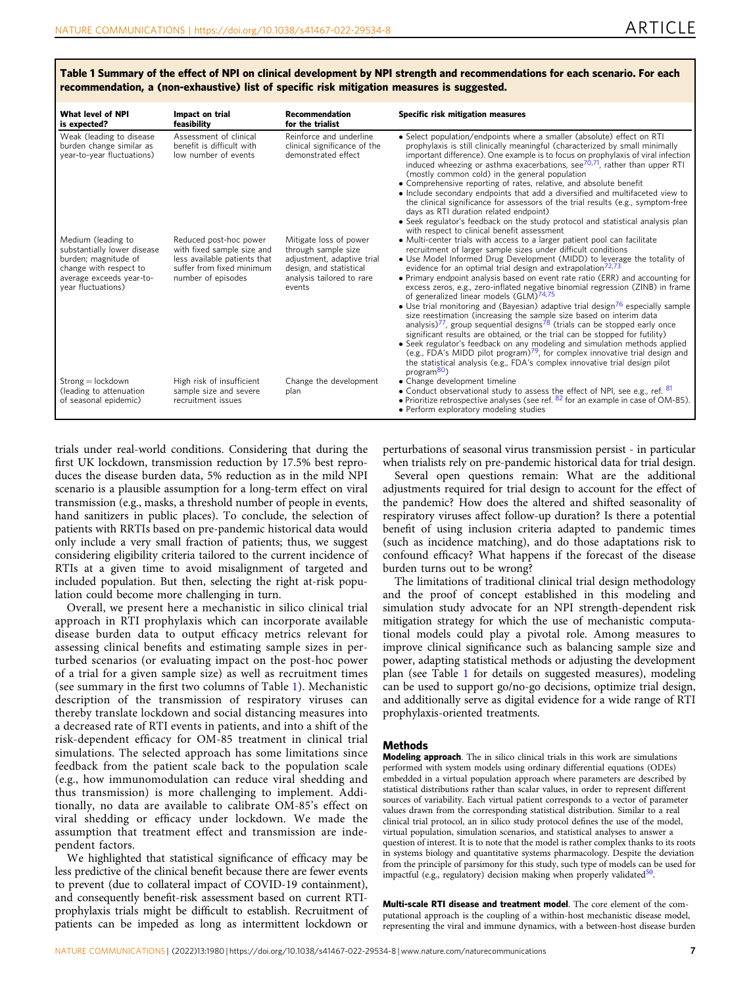| What level of NPI<br>is expected?                                                                                                                     | Impact on trial<br>feasibility                                                                                                          | Recommendation<br>for the trialist                                                                                                            | Specific risk mitigation measures                                                                                                                                                                                                                                                                                                                                                                                                                                                                                                                                                                                                                                                                                                                                                                                                                                                                                                                                                                                                                                                                                                                                                            |
|-------------------------------------------------------------------------------------------------------------------------------------------------------|-----------------------------------------------------------------------------------------------------------------------------------------|-----------------------------------------------------------------------------------------------------------------------------------------------|----------------------------------------------------------------------------------------------------------------------------------------------------------------------------------------------------------------------------------------------------------------------------------------------------------------------------------------------------------------------------------------------------------------------------------------------------------------------------------------------------------------------------------------------------------------------------------------------------------------------------------------------------------------------------------------------------------------------------------------------------------------------------------------------------------------------------------------------------------------------------------------------------------------------------------------------------------------------------------------------------------------------------------------------------------------------------------------------------------------------------------------------------------------------------------------------|
| Weak (leading to disease<br>burden change similar as<br>year-to-year fluctuations)                                                                    | Assessment of clinical<br>benefit is difficult with<br>low number of events                                                             | Reinforce and underline<br>clinical significance of the<br>demonstrated effect                                                                | • Select population/endpoints where a smaller (absolute) effect on RTI<br>prophylaxis is still clinically meaningful (characterized by small minimally<br>important difference). One example is to focus on prophylaxis of viral infection<br>induced wheezing or asthma exacerbations, see $70,71$ , rather than upper RTI<br>(mostly common cold) in the general population<br>• Comprehensive reporting of rates, relative, and absolute benefit<br>• Include secondary endpoints that add a diversified and multifaceted view to<br>the clinical significance for assessors of the trial results (e.g., symptom-free<br>days as RTI duration related endpoint)<br>• Seek regulator's feedback on the study protocol and statistical analysis plan<br>with respect to clinical benefit assessment                                                                                                                                                                                                                                                                                                                                                                                         |
| Medium (leading to<br>substantially lower disease<br>burden; magnitude of<br>change with respect to<br>average exceeds year-to-<br>year fluctuations) | Reduced post-hoc power<br>with fixed sample size and<br>less available patients that<br>suffer from fixed minimum<br>number of episodes | Mitigate loss of power<br>through sample size<br>adjustment, adaptive trial<br>design, and statistical<br>analysis tailored to rare<br>events | • Multi-center trials with access to a larger patient pool can facilitate<br>recruitment of larger sample sizes under difficult conditions<br>• Use Model Informed Drug Development (MIDD) to leverage the totality of<br>evidence for an optimal trial design and extrapolation <sup>72,73</sup><br>• Primary endpoint analysis based on event rate ratio (ERR) and accounting for<br>excess zeros, e.g., zero-inflated negative binomial regression (ZINB) in frame<br>of generalized linear models (GLM) <sup>74,75</sup><br>• Use trial monitoring and (Bayesian) adaptive trial design <sup>76</sup> especially sample<br>size reestimation (increasing the sample size based on interim data<br>analysis) <sup><math>\prime\prime</math></sup> , group sequential designs <sup>78</sup> (trials can be stopped early once<br>significant results are obtained, or the trial can be stopped for futility)<br>• Seek regulator's feedback on any modeling and simulation methods applied<br>(e.g., FDA's MIDD pilot program) $^{79}$ , for complex innovative trial design and<br>the statistical analysis (e.g., FDA's complex innovative trial design pilot<br>program <sup>80</sup> ) |
| $Strong = lockdown$<br>(leading to attenuation<br>of seasonal epidemic)                                                                               | High risk of insufficient<br>sample size and severe<br>recruitment issues                                                               | Change the development<br>plan                                                                                                                | • Change development timeline<br>• Conduct observational study to assess the effect of NPI, see e.g., ref. 81<br>• Prioritize retrospective analyses (see ref. $82$ for an example in case of OM-85).<br>• Perform exploratory modeling studies                                                                                                                                                                                                                                                                                                                                                                                                                                                                                                                                                                                                                                                                                                                                                                                                                                                                                                                                              |

Table 1 Summary of the effect of NPI on clinical development by NPI strength and recommendations for each scenario. For each recommendation, a (non-exhaustive) list of specific risk mitigation measures is suggested.

trials under real-world conditions. Considering that during the first UK lockdown, transmission reduction by 17.5% best reproduces the disease burden data, 5% reduction as in the mild NPI scenario is a plausible assumption for a long-term effect on viral transmission (e.g., masks, a threshold number of people in events, hand sanitizers in public places). To conclude, the selection of patients with RRTIs based on pre-pandemic historical data would only include a very small fraction of patients; thus, we suggest considering eligibility criteria tailored to the current incidence of RTIs at a given time to avoid misalignment of targeted and included population. But then, selecting the right at-risk population could become more challenging in turn.

Overall, we present here a mechanistic in silico clinical trial approach in RTI prophylaxis which can incorporate available disease burden data to output efficacy metrics relevant for assessing clinical benefits and estimating sample sizes in perturbed scenarios (or evaluating impact on the post-hoc power of a trial for a given sample size) as well as recruitment times (see summary in the first two columns of Table 1). Mechanistic description of the transmission of respiratory viruses can thereby translate lockdown and social distancing measures into a decreased rate of RTI events in patients, and into a shift of the risk-dependent efficacy for OM-85 treatment in clinical trial simulations. The selected approach has some limitations since feedback from the patient scale back to the population scale (e.g., how immunomodulation can reduce viral shedding and thus transmission) is more challenging to implement. Additionally, no data are available to calibrate OM-85's effect on viral shedding or efficacy under lockdown. We made the assumption that treatment effect and transmission are independent factors.

We highlighted that statistical significance of efficacy may be less predictive of the clinical benefit because there are fewer events to prevent (due to collateral impact of COVID-19 containment), and consequently benefit-risk assessment based on current RTIprophylaxis trials might be difficult to establish. Recruitment of patients can be impeded as long as intermittent lockdown or

perturbations of seasonal virus transmission persist - in particular when trialists rely on pre-pandemic historical data for trial design.

Several open questions remain: What are the additional adjustments required for trial design to account for the effect of the pandemic? How does the altered and shifted seasonality of respiratory viruses affect follow-up duration? Is there a potential benefit of using inclusion criteria adapted to pandemic times (such as incidence matching), and do those adaptations risk to confound efficacy? What happens if the forecast of the disease burden turns out to be wrong?

The limitations of traditional clinical trial design methodology and the proof of concept established in this modeling and simulation study advocate for an NPI strength-dependent risk mitigation strategy for which the use of mechanistic computational models could play a pivotal role. Among measures to improve clinical significance such as balancing sample size and power, adapting statistical methods or adjusting the development plan (see Table 1 for details on suggested measures), modeling can be used to support go/no-go decisions, optimize trial design, and additionally serve as digital evidence for a wide range of RTI prophylaxis-oriented treatments.

#### Methods

Modeling approach. The in silico clinical trials in this work are simulations performed with system models using ordinary differential equations (ODEs) embedded in a virtual population approach where parameters are described by statistical distributions rather than scalar values, in order to represent different sources of variability. Each virtual patient corresponds to a vector of parameter values drawn from the corresponding statistical distribution. Similar to a real clinical trial protocol, an in silico study protocol defines the use of the model, virtual population, simulation scenarios, and statistical analyses to answer a question of interest. It is to note that the model is rather complex thanks to its roots in systems biology and quantitative systems pharmacology. Despite the deviation from the principle of parsimony for this study, such type of models can be used for impactful (e.g., regulatory) decision making when properly validated<sup>50</sup>.

Multi-scale RTI disease and treatment model. The core element of the computational approach is the coupling of a within-host mechanistic disease model, representing the viral and immune dynamics, with a between-host disease burden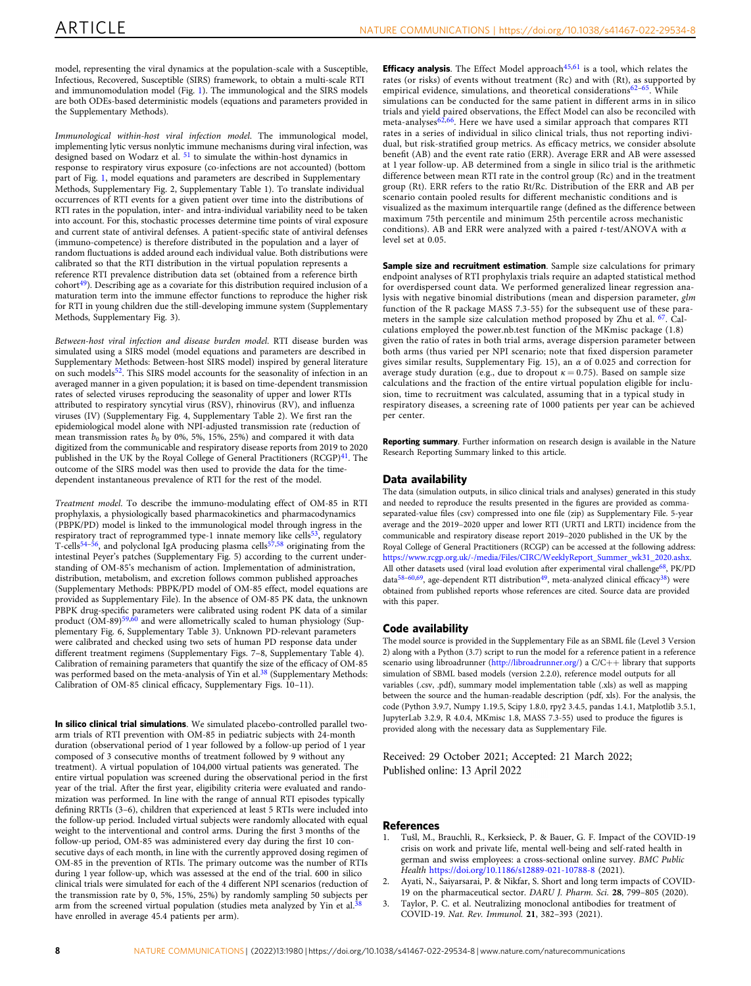<span id="page-7-0"></span>model, representing the viral dynamics at the population-scale with a Susceptible, Infectious, Recovered, Susceptible (SIRS) framework, to obtain a multi-scale RTI and immunomodulation model (Fig. [1](#page-1-0)). The immunological and the SIRS models are both ODEs-based deterministic models (equations and parameters provided in the Supplementary Methods).

Immunological within-host viral infection model. The immunological model, implementing lytic versus nonlytic immune mechanisms during viral infection, was designed based on Wodarz et al. <sup>[51](#page-8-0)</sup> to simulate the within-host dynamics in response to respiratory virus exposure (co-infections are not accounted) (bottom part of Fig. [1,](#page-1-0) model equations and parameters are described in Supplementary Methods, Supplementary Fig. 2, Supplementary Table 1). To translate individual occurrences of RTI events for a given patient over time into the distributions of RTI rates in the population, inter- and intra-individual variability need to be taken into account. For this, stochastic processes determine time points of viral exposure and current state of antiviral defenses. A patient-specific state of antiviral defenses (immuno-competence) is therefore distributed in the population and a layer of random fluctuations is added around each individual value. Both distributions were calibrated so that the RTI distribution in the virtual population represents a reference RTI prevalence distribution data set (obtained from a reference birth  $\text{cohort}^{49}$ ). Describing age as a covariate for this distribution required inclusion of a maturation term into the immune effector functions to reproduce the higher risk for RTI in young children due the still-developing immune system (Supplementary Methods, Supplementary Fig. 3).

Between-host viral infection and disease burden model. RTI disease burden was simulated using a SIRS model (model equations and parameters are described in Supplementary Methods: Between-host SIRS model) inspired by general literature on such models<sup>52</sup>. This SIRS model accounts for the seasonality of infection in an averaged manner in a given population; it is based on time-dependent transmission rates of selected viruses reproducing the seasonality of upper and lower RTIs attributed to respiratory syncytial virus (RSV), rhinovirus (RV), and influenza viruses (IV) (Supplementary Fig. 4, Supplementary Table 2). We first ran the epidemiological model alone with NPI-adjusted transmission rate (reduction of mean transmission rates  $b_0$  by 0%, 5%, 15%, 25%) and compared it with data digitized from the communicable and respiratory disease reports from 2019 to 2020 published in the UK by the Royal College of General Practitioners (RCGP)<sup>[41](#page-8-0)</sup>. The outcome of the SIRS model was then used to provide the data for the timedependent instantaneous prevalence of RTI for the rest of the model.

Treatment model. To describe the immuno-modulating effect of OM-85 in RTI prophylaxis, a physiologically based pharmacokinetics and pharmacodynamics (PBPK/PD) model is linked to the immunological model through ingress in the respiratory tract of reprogrammed type-1 innate memory like cells<sup>[53](#page-8-0)</sup>, regulatory T-cells<sup>[54](#page-8-0)–[56](#page-8-0)</sup>, and polyclonal IgA producing plasma cells<sup>57,58</sup> originating from the intestinal Peyer's patches (Supplementary Fig. 5) according to the current understanding of OM-85's mechanism of action. Implementation of administration, distribution, metabolism, and excretion follows common published approaches (Supplementary Methods: PBPK/PD model of OM-85 effect, model equations are provided as Supplementary File). In the absence of OM-85 PK data, the unknown PBPK drug-specific parameters were calibrated using rodent PK data of a similar product  $(\tilde{OM}-89)^{59,60}$  $(\tilde{OM}-89)^{59,60}$  $(\tilde{OM}-89)^{59,60}$  $(\tilde{OM}-89)^{59,60}$  $(\tilde{OM}-89)^{59,60}$  and were allometrically scaled to human physiology (Supplementary Fig. 6, Supplementary Table 3). Unknown PD-relevant parameters were calibrated and checked using two sets of human PD response data under different treatment regimens (Supplementary Figs. 7–8, Supplementary Table 4). Calibration of remaining parameters that quantify the size of the efficacy of OM-85 was performed based on the meta-analysis of Yin et al.<sup>38</sup> (Supplementary Methods: Calibration of OM-85 clinical efficacy, Supplementary Figs. 10–11).

In silico clinical trial simulations. We simulated placebo-controlled parallel twoarm trials of RTI prevention with OM-85 in pediatric subjects with 24-month duration (observational period of 1 year followed by a follow-up period of 1 year composed of 3 consecutive months of treatment followed by 9 without any treatment). A virtual population of 104,000 virtual patients was generated. The entire virtual population was screened during the observational period in the first year of the trial. After the first year, eligibility criteria were evaluated and randomization was performed. In line with the range of annual RTI episodes typically defining RRTIs (3–6), children that experienced at least 5 RTIs were included into the follow-up period. Included virtual subjects were randomly allocated with equal weight to the interventional and control arms. During the first 3 months of the follow-up period, OM-85 was administered every day during the first 10 consecutive days of each month, in line with the currently approved dosing regimen of OM-85 in the prevention of RTIs. The primary outcome was the number of RTIs during 1 year follow-up, which was assessed at the end of the trial. 600 in silico clinical trials were simulated for each of the 4 different NPI scenarios (reduction of the transmission rate by 0, 5%, 15%, 25%) by randomly sampling 50 subjects per<br>the transmission rate by 0, 5%, 15%, 25%) by randomly sampling 50 subjects per arm from the screened virtual population (studies meta analyzed by Yin et al.<sup>3</sup> have enrolled in average 45.4 patients per arm).

**Efficacy analysis**. The Effect Model approach<sup>[45,61](#page-8-0)</sup> is a tool, which relates the rates (or risks) of events without treatment (Rc) and with (Rt), as supported by empirical evidence, simulations, and theoretical considerations<sup>[62](#page-9-0)–65</sup>. While simulations can be conducted for the same patient in different arms in in silico trials and yield paired observations, the Effect Model can also be reconciled with meta-analyses[62,66](#page-9-0). Here we have used a similar approach that compares RTI rates in a series of individual in silico clinical trials, thus not reporting individual, but risk-stratified group metrics. As efficacy metrics, we consider absolute benefit (AB) and the event rate ratio (ERR). Average ERR and AB were assessed at 1 year follow-up. AB determined from a single in silico trial is the arithmetic difference between mean RTI rate in the control group (Rc) and in the treatment group (Rt). ERR refers to the ratio Rt/Rc. Distribution of the ERR and AB per scenario contain pooled results for different mechanistic conditions and is visualized as the maximum interquartile range (defined as the difference between maximum 75th percentile and minimum 25th percentile across mechanistic conditions). AB and ERR were analyzed with a paired t-test/ANOVA with  $\alpha$ level set at 0.05.

Sample size and recruitment estimation. Sample size calculations for primary endpoint analyses of RTI prophylaxis trials require an adapted statistical method for overdispersed count data. We performed generalized linear regression analysis with negative binomial distributions (mean and dispersion parameter, glm function of the R package MASS 7.3-55) for the subsequent use of these parameters in the sample size calculation method proposed by Zhu et al. <sup>67</sup>. Calculations employed the power.nb.test function of the MKmisc package (1.8) given the ratio of rates in both trial arms, average dispersion parameter between both arms (thus varied per NPI scenario; note that fixed dispersion parameter gives similar results, Supplementary Fig. 15), an  $\alpha$  of 0.025 and correction for average study duration (e.g., due to dropout  $\kappa = 0.75$ ). Based on sample size calculations and the fraction of the entire virtual population eligible for inclusion, time to recruitment was calculated, assuming that in a typical study in respiratory diseases, a screening rate of 1000 patients per year can be achieved per center.

Reporting summary. Further information on research design is available in the Nature Research Reporting Summary linked to this article.

#### Data availability

The data (simulation outputs, in silico clinical trials and analyses) generated in this study and needed to reproduce the results presented in the figures are provided as commaseparated-value files (csv) compressed into one file (zip) as Supplementary File. 5-year average and the 2019–2020 upper and lower RTI (URTI and LRTI) incidence from the communicable and respiratory disease report 2019–2020 published in the UK by the Royal College of General Practitioners (RCGP) can be accessed at the following address: [https://www.rcgp.org.uk/-/media/Files/CIRC/WeeklyReport\\_Summer\\_wk31\\_2020.ashx.](https://www.rcgp.org.uk/-/media/Files/CIRC/WeeklyReport_Summer_wk31_2020.ashx) All other datasets used (viral load evolution after experimental viral challenge<sup>[68](#page-9-0)</sup>, PK/PD data<sup>[58](#page-8-0)–[60](#page-8-0),69</sup>, age-dependent RTI distribution<sup>[49](#page-8-0)</sup>, meta-analyzed clinical efficacy<sup>[38](#page-8-0)</sup>) were obtained from published reports whose references are cited. Source data are provided with this paper.

#### Code availability

The model source is provided in the Supplementary File as an SBML file (Level 3 Version 2) along with a Python (3.7) script to run the model for a reference patient in a reference scenario using libroadrunner (<http://libroadrunner.org/>) a C/C++ library that supports simulation of SBML based models (version 2.2.0), reference model outputs for all variables (.csv, .pdf), summary model implementation table (.xls) as well as mapping between the source and the human-readable description (pdf, xls). For the analysis, the code (Python 3.9.7, Numpy 1.19.5, Scipy 1.8.0, rpy2 3.4.5, pandas 1.4.1, Matplotlib 3.5.1, JupyterLab 3.2.9, R 4.0.4, MKmisc 1.8, MASS 7.3-55) used to produce the figures is provided along with the necessary data as Supplementary File.

Received: 29 October 2021; Accepted: 21 March 2022;

#### **References**

- 1. Tušl, M., Brauchli, R., Kerksieck, P. & Bauer, G. F. Impact of the COVID-19 crisis on work and private life, mental well-being and self-rated health in german and swiss employees: a cross-sectional online survey. BMC Public Health <https://doi.org/10.1186/s12889-021-10788-8> (2021).
- 2. Ayati, N., Saiyarsarai, P. & Nikfar, S. Short and long term impacts of COVID-19 on the pharmaceutical sector. DARU J. Pharm. Sci. 28, 799–805 (2020).
- Taylor, P. C. et al. Neutralizing monoclonal antibodies for treatment of COVID-19. Nat. Rev. Immunol. 21, 382–393 (2021).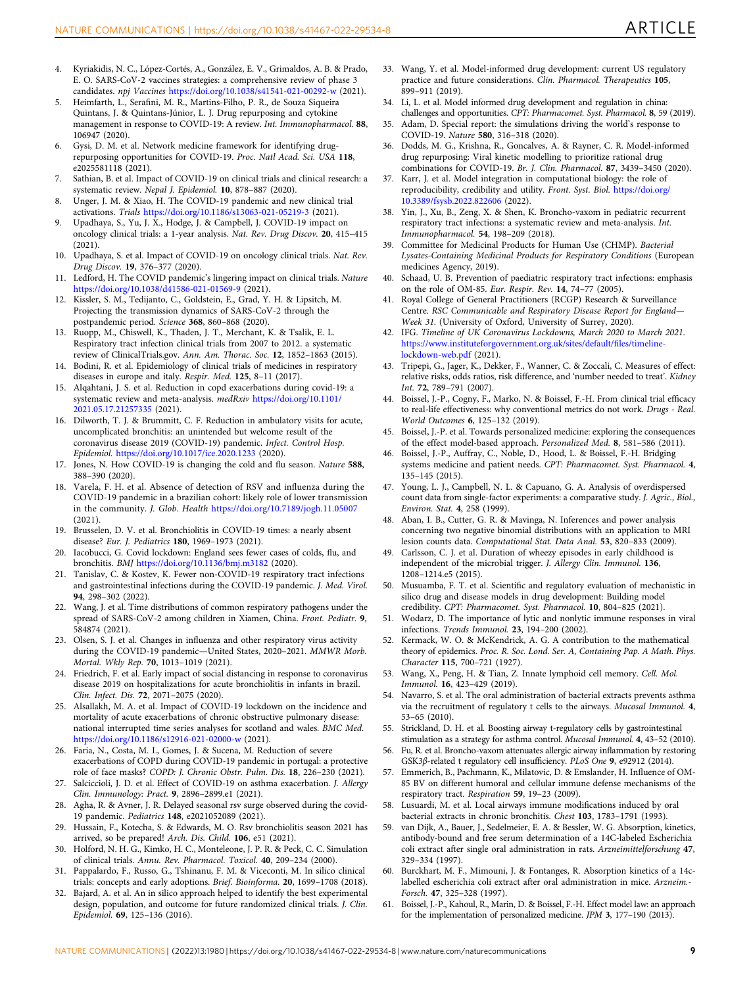- <span id="page-8-0"></span>4. Kyriakidis, N. C., López-Cortés, A., González, E. V., Grimaldos, A. B. & Prado, E. O. SARS-CoV-2 vaccines strategies: a comprehensive review of phase 3 candidates. npj Vaccines <https://doi.org/10.1038/s41541-021-00292-w> (2021).
- 5. Heimfarth, L., Serafini, M. R., Martins-Filho, P. R., de Souza Siqueira Quintans, J. & Quintans-Júnior, L. J. Drug repurposing and cytokine management in response to COVID-19: A review. Int. Immunopharmacol. 88, 106947 (2020).
- 6. Gysi, D. M. et al. Network medicine framework for identifying drugrepurposing opportunities for COVID-19. Proc. Natl Acad. Sci. USA 118, e2025581118 (2021).
- 7. Sathian, B. et al. Impact of COVID-19 on clinical trials and clinical research: a systematic review. Nepal J. Epidemiol. 10, 878–887 (2020).
- 8. Unger, J. M. & Xiao, H. The COVID-19 pandemic and new clinical trial activations. Trials <https://doi.org/10.1186/s13063-021-05219-3> (2021).
- Upadhaya, S., Yu, J. X., Hodge, J. & Campbell, J. COVID-19 impact on oncology clinical trials: a 1-year analysis. Nat. Rev. Drug Discov. 20, 415–415 (2021).
- 10. Upadhaya, S. et al. Impact of COVID-19 on oncology clinical trials. Nat. Rev. Drug Discov. 19, 376–377 (2020).
- 11. Ledford, H. The COVID pandemic's lingering impact on clinical trials. Nature <https://doi.org/10.1038/d41586-021-01569-9> (2021).
- 12. Kissler, S. M., Tedijanto, C., Goldstein, E., Grad, Y. H. & Lipsitch, M. Projecting the transmission dynamics of SARS-CoV-2 through the postpandemic period. Science 368, 860–868 (2020).
- 13. Ruopp, M., Chiswell, K., Thaden, J. T., Merchant, K. & Tsalik, E. L. Respiratory tract infection clinical trials from 2007 to 2012. a systematic review of ClinicalTrials.gov. Ann. Am. Thorac. Soc. 12, 1852–1863 (2015).
- 14. Bodini, R. et al. Epidemiology of clinical trials of medicines in respiratory diseases in europe and italy. Respir. Med. 125, 8–11 (2017).
- 15. Alqahtani, J. S. et al. Reduction in copd exacerbations during covid-19: a systematic review and meta-analysis. medRxiv [https://doi.org/10.1101/](https://doi.org/10.1101/2021.05.17.21257335) [2021.05.17.21257335](https://doi.org/10.1101/2021.05.17.21257335) (2021).
- 16. Dilworth, T. J. & Brummitt, C. F. Reduction in ambulatory visits for acute, uncomplicated bronchitis: an unintended but welcome result of the coronavirus disease 2019 (COVID-19) pandemic. Infect. Control Hosp. Epidemiol. <https://doi.org/10.1017/ice.2020.1233> (2020).
- 17. Jones, N. How COVID-19 is changing the cold and flu season. Nature 588, 388–390 (2020).
- 18. Varela, F. H. et al. Absence of detection of RSV and influenza during the COVID-19 pandemic in a brazilian cohort: likely role of lower transmission in the community. J. Glob. Health <https://doi.org/10.7189/jogh.11.05007> (2021).
- 19. Brusselen, D. V. et al. Bronchiolitis in COVID-19 times: a nearly absent disease? Eur. J. Pediatrics 180, 1969–1973 (2021).
- 20. Iacobucci, G. Covid lockdown: England sees fewer cases of colds, flu, and bronchitis. BMJ <https://doi.org/10.1136/bmj.m3182> (2020).
- 21. Tanislav, C. & Kostev, K. Fewer non-COVID-19 respiratory tract infections and gastrointestinal infections during the COVID-19 pandemic. J. Med. Virol. 94, 298–302 (2022).
- 22. Wang, J. et al. Time distributions of common respiratory pathogens under the spread of SARS-CoV-2 among children in Xiamen, China. Front. Pediatr. 9, 584874 (2021).
- 23. Olsen, S. J. et al. Changes in influenza and other respiratory virus activity during the COVID-19 pandemic—United States, 2020–2021. MMWR Morb. Mortal. Wkly Rep. 70, 1013–1019 (2021).
- 24. Friedrich, F. et al. Early impact of social distancing in response to coronavirus disease 2019 on hospitalizations for acute bronchiolitis in infants in brazil. Clin. Infect. Dis. 72, 2071–2075 (2020).
- 25. Alsallakh, M. A. et al. Impact of COVID-19 lockdown on the incidence and mortality of acute exacerbations of chronic obstructive pulmonary disease: national interrupted time series analyses for scotland and wales. BMC Med. <https://doi.org/10.1186/s12916-021-02000-w> (2021).
- 26. Faria, N., Costa, M. I., Gomes, J. & Sucena, M. Reduction of severe exacerbations of COPD during COVID-19 pandemic in portugal: a protective role of face masks? COPD: J. Chronic Obstr. Pulm. Dis. 18, 226–230 (2021).
- 27. Salciccioli, J. D. et al. Effect of COVID-19 on asthma exacerbation. J. Allergy Clin. Immunology: Pract. 9, 2896–2899.e1 (2021).
- 28. Agha, R. & Avner, J. R. Delayed seasonal rsv surge observed during the covid-19 pandemic. Pediatrics 148, e2021052089 (2021).
- 29. Hussain, F., Kotecha, S. & Edwards, M. O. Rsv bronchiolitis season 2021 has arrived, so be prepared! Arch. Dis. Child. 106, e51 (2021).
- 30. Holford, N. H. G., Kimko, H. C., Monteleone, J. P. R. & Peck, C. C. Simulation of clinical trials. Annu. Rev. Pharmacol. Toxicol. 40, 209–234 (2000).
- 31. Pappalardo, F., Russo, G., Tshinanu, F. M. & Viceconti, M. In silico clinical trials: concepts and early adoptions. Brief. Bioinforma. 20, 1699–1708 (2018).
- 32. Bajard, A. et al. An in silico approach helped to identify the best experimental design, population, and outcome for future randomized clinical trials. J. Clin. Epidemiol. 69, 125–136 (2016).
- 33. Wang, Y. et al. Model-informed drug development: current US regulatory practice and future considerations. Clin. Pharmacol. Therapeutics 105, 899–911 (2019).
- 34. Li, L. et al. Model informed drug development and regulation in china: challenges and opportunities. CPT: Pharmacomet. Syst. Pharmacol. 8, 59 (2019).
- 35. Adam, D. Special report: the simulations driving the world's response to COVID-19. Nature 580, 316–318 (2020).
- 36. Dodds, M. G., Krishna, R., Goncalves, A. & Rayner, C. R. Model-informed drug repurposing: Viral kinetic modelling to prioritize rational drug combinations for COVID-19. Br. J. Clin. Pharmacol. 87, 3439–3450 (2020).
- 37. Karr, J. et al. Model integration in computational biology: the role of reproducibility, credibility and utility. Front. Syst. Biol. [https://doi.org/](https://doi.org/10.3389/fsysb.2022.822606) [10.3389/fsysb.2022.822606](https://doi.org/10.3389/fsysb.2022.822606) (2022).
- 38. Yin, J., Xu, B., Zeng, X. & Shen, K. Broncho-vaxom in pediatric recurrent respiratory tract infections: a systematic review and meta-analysis. Int. Immunopharmacol. 54, 198–209 (2018).
- 39. Committee for Medicinal Products for Human Use (CHMP). Bacterial Lysates-Containing Medicinal Products for Respiratory Conditions (European medicines Agency, 2019).
- 40. Schaad, U. B. Prevention of paediatric respiratory tract infections: emphasis on the role of OM-85. Eur. Respir. Rev. 14, 74–77 (2005).
- 41. Royal College of General Practitioners (RCGP) Research & Surveillance Centre. RSC Communicable and Respiratory Disease Report for England— Week 31. (University of Oxford, University of Surrey, 2020).
- 42. IFG. Timeline of UK Coronavirus Lockdowns, March 2020 to March 2021. [https://www.instituteforgovernment.org.uk/sites/default/](https://www.instituteforgovernment.org.uk/sites/default/files/timeline-lockdown-web.pdf)files/timeline[lockdown-web.pdf](https://www.instituteforgovernment.org.uk/sites/default/files/timeline-lockdown-web.pdf) (2021).
- 43. Tripepi, G., Jager, K., Dekker, F., Wanner, C. & Zoccali, C. Measures of effect: relative risks, odds ratios, risk difference, and 'number needed to treat'. Kidney Int. 72, 789–791 (2007).
- 44. Boissel, J.-P., Cogny, F., Marko, N. & Boissel, F.-H. From clinical trial efficacy to real-life effectiveness: why conventional metrics do not work. Drugs - Real. World Outcomes 6, 125–132 (2019).
- 45. Boissel, J.-P. et al. Towards personalized medicine: exploring the consequences of the effect model-based approach. Personalized Med. 8, 581–586 (2011).
- 46. Boissel, J.-P., Auffray, C., Noble, D., Hood, L. & Boissel, F.-H. Bridging systems medicine and patient needs. CPT: Pharmacomet. Syst. Pharmacol. 4, 135–145 (2015).
- 47. Young, L. J., Campbell, N. L. & Capuano, G. A. Analysis of overdispersed count data from single-factor experiments: a comparative study. J. Agric., Biol., Environ. Stat. 4, 258 (1999).
- 48. Aban, I. B., Cutter, G. R. & Mavinga, N. Inferences and power analysis concerning two negative binomial distributions with an application to MRI lesion counts data. Computational Stat. Data Anal. 53, 820–833 (2009).
- 49. Carlsson, C. J. et al. Duration of wheezy episodes in early childhood is independent of the microbial trigger. J. Allergy Clin. Immunol. 136, 1208–1214.e5 (2015).
- 50. Musuamba, F. T. et al. Scientific and regulatory evaluation of mechanistic in silico drug and disease models in drug development: Building model credibility. CPT: Pharmacomet. Syst. Pharmacol. 10, 804–825 (2021).
- 51. Wodarz, D. The importance of lytic and nonlytic immune responses in viral infections. Trends Immunol. 23, 194–200 (2002).
- 52. Kermack, W. O. & McKendrick, A. G. A contribution to the mathematical theory of epidemics. Proc. R. Soc. Lond. Ser. A, Containing Pap. A Math. Phys. Character 115, 700–721 (1927).
- 53. Wang, X., Peng, H. & Tian, Z. Innate lymphoid cell memory. Cell. Mol. Immunol. 16, 423–429 (2019).
- 54. Navarro, S. et al. The oral administration of bacterial extracts prevents asthma via the recruitment of regulatory t cells to the airways. Mucosal Immunol. 4, 53–65 (2010).
- 55. Strickland, D. H. et al. Boosting airway t-regulatory cells by gastrointestinal stimulation as a strategy for asthma control. Mucosal Immunol. 4, 43–52 (2010).
- 56. Fu, R. et al. Broncho-vaxom attenuates allergic airway inflammation by restoring GSK3β-related t regulatory cell insufficiency. PLoS One 9, e92912 (2014).
- 57. Emmerich, B., Pachmann, K., Milatovic, D. & Emslander, H. Influence of OM-85 BV on different humoral and cellular immune defense mechanisms of the respiratory tract. Respiration 59, 19–23 (2009).
- 58. Lusuardi, M. et al. Local airways immune modifications induced by oral bacterial extracts in chronic bronchitis. Chest 103, 1783–1791 (1993).
- 59. van Dijk, A., Bauer, J., Sedelmeier, E. A. & Bessler, W. G. Absorption, kinetics, antibody-bound and free serum determination of a 14C-labeled Escherichia coli extract after single oral administration in rats. Arzneimittelforschung 47, 329–334 (1997).
- 60. Burckhart, M. F., Mimouni, J. & Fontanges, R. Absorption kinetics of a 14clabelled escherichia coli extract after oral administration in mice. Arzneim.- Forsch. 47, 325–328 (1997).
- 61. Boissel, J.-P., Kahoul, R., Marin, D. & Boissel, F.-H. Effect model law: an approach for the implementation of personalized medicine. JPM 3, 177–190 (2013).